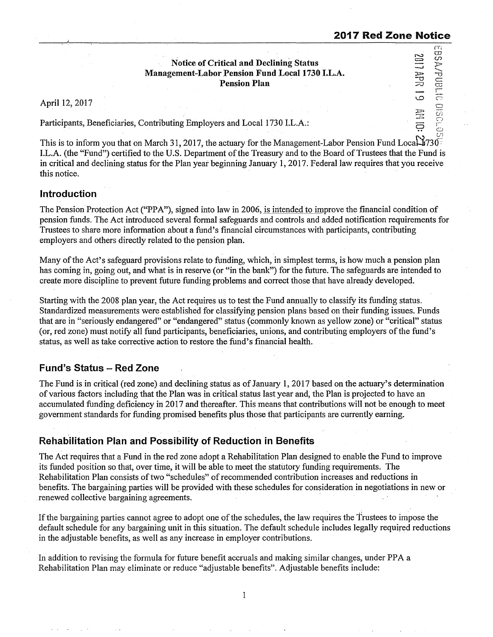3011 원 52

fTl

rand/vss

 $\subset$ 5  $\frac{30}{10}$ i.:::.:..:

l.D

**:l:Uoi**  :?. 5 ..

### **Notice of Critical and Declining Status Management-Labor Pension Fund Local 1730 I.L.A. Pension Plan**

April 12, 2017

Participants, Beneficiaries, Contributing Employers and Local 1730 LL.A.:

This is to inform you that on March 31, 2017, the actuary for the Management-Labor Pension Fund Local: 1730 LL.A. (the "Fund") certified to the U.S. Department of the Treasury and to the Board of Trustees that the Fund is in critical and declining status for the Plan year beginning January 1, 2017. Federal law requires that you receive this notice.

### **Introduction**

The Pension Protection Act("PPA"), signed into law in 2006, is intended to improve the financial condition of pension funds. The Act introduced several formal safeguards and controls and added notification requirements for Trustees to share more information about a fund's financial circumstances with participants, contributing employers and others directly related to the pension plan.

Many of the Act's safeguard provisions relate to funding, which, in simplest terms, is how much a pension plan has coming in, going out, and what is in reserve (or "in the bank") for the future. The safeguards are intended to create more discipline to prevent future funding problems and correct those that have already developed.

Starting with the 2008 plan year, the Act requires us to test the Fund annually to classify its funding status. Standardized measurements were established for classifying pension plans based on their funding issues. Funds that are in "seriously endangered" or "endangered"· status (commonly known as yellow zone) or "critical" status (or, red zone) must notify all fund participants, beneficiaries, unions, and contributing employers of the fund's status, as well as take corrective action to restore the fund's financial health.

# **Fund's Status - Red Zone**

The Fund is in critical (red zone) and declining status as of January I, 2017 based on the actuary's determination of various factors including that the Plan was in critical status last year and, the Plan is projected to have an accumulated funding deficiency in 2017 and thereafter. This means that contributions will not be enough to meet government standards for funding promised benefits plus those that participants are currently earning.

# **Rehabilitation Plan and Possibility of Reduction in Benefits**

The Act requires that a Fund in the red zone adopt a Rehabilitation Plan designed to enable the Fund to improve its funded position so that, over time, it will be able to meet the statutory funding requirements. The Rehabilitation Plan consists of two "schedules" of recommended contribution increases and reductions in benefits. The bargaining parties will be provided with these schedules for consideration in negotiations in new or renewed collective bargaining agreements.

If the bargaining parties cannot agree to adopt one of the schedules, the law requires the Trustees to impose the default schedule for any bargaining unit in this situation. The default schedule includes legally required reductions in the adjustable benefits, as well as any increase in employer contributions.

In addition to revising the formula for future benefit accruals and making similar changes, under PP A a Rehabilitation Plan may eliminate or reduce "adjustable benefits". Adjustable benefits include:

 $\mathbf{1}$